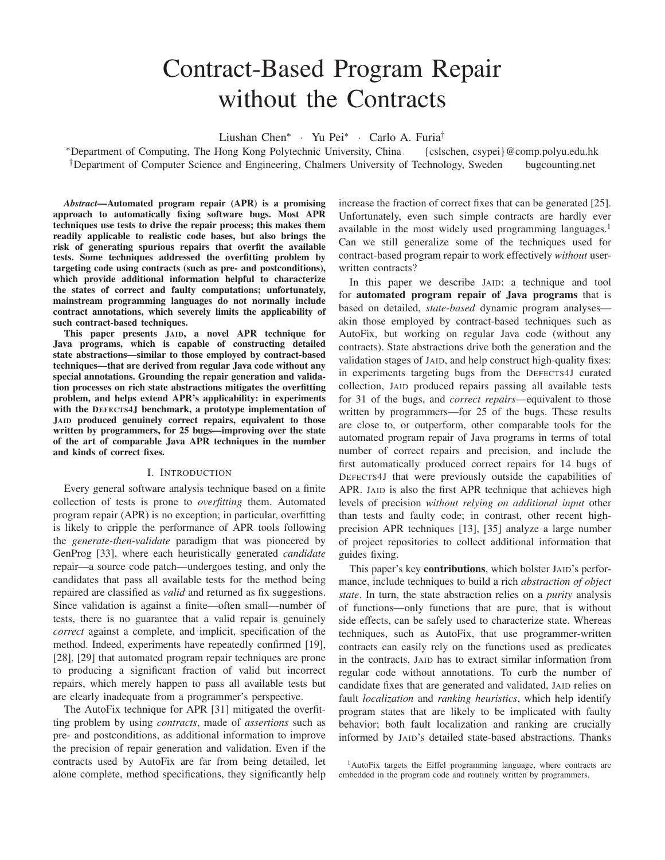The following publication L. Chen, Y. Pei and C. A. Furia, "Contract-based program repair without the contracts," 2017 32nd IEEE/ACM International Conference on Automated Software Engineering (ASE), Urbana, IL, 2017, pp. 637-647 is available at https://doi.org/10.1109/ASE.2017.8115674

# Contract-Based Program Repair without the Contracts

Liushan Chen<sup>∗</sup> · Yu Pei<sup>∗</sup> · Carlo A. Furia<sup>†</sup><br>Hong Kong Polytechnic University, China {cslschen, csypei}@comp.polyu.edu.hk \*Department of Computing, The Hong Kong Polytechnic University, China †Department of Computer Science and Engineering, Chalmers University of Technology, Sweden bugcounting.net

*Abstract*—Automated program repair (APR) is a promising approach to automatically fixing software bugs. Most APR techniques use tests to drive the repair process; this makes them readily applicable to realistic code bases, but also brings the risk of generating spurious repairs that overfit the available tests. Some techniques addressed the overfitting problem by targeting code using contracts (such as pre- and postconditions), which provide additional information helpful to characterize the states of correct and faulty computations; unfortunately, mainstream programming languages do not normally include contract annotations, which severely limits the applicability of such contract-based techniques.

This paper presents JAID, a novel APR technique for Java programs, which is capable of constructing detailed state abstractions—similar to those employed by contract-based techniques—that are derived from regular Java code without any special annotations. Grounding the repair generation and validation processes on rich state abstractions mitigates the overfitting problem, and helps extend APR's applicability: in experiments with the DEFECTS4J benchmark, a prototype implementation of JAID produced genuinely correct repairs, equivalent to those written by programmers, for 25 bugs—improving over the state of the art of comparable Java APR techniques in the number and kinds of correct fixes.

#### I. INTRODUCTION

Every general software analysis technique based on a finite collection of tests is prone to *overfitting* them. Automated program repair (APR) is no exception; in particular, overfitting is likely to cripple the performance of APR tools following the *generate-then-validate* paradigm that was pioneered by GenProg [33], where each heuristically generated *candidate* repair—a source code patch—undergoes testing, and only the candidates that pass all available tests for the method being repaired are classified as *valid* and returned as fix suggestions. Since validation is against a finite—often small—number of tests, there is no guarantee that a valid repair is genuinely *correct* against a complete, and implicit, specification of the method. Indeed, experiments have repeatedly confirmed [19], [28], [29] that automated program repair techniques are prone to producing a significant fraction of valid but incorrect repairs, which merely happen to pass all available tests but are clearly inadequate from a programmer's perspective.

The AutoFix technique for APR [31] mitigated the overfitting problem by using *contracts*, made of *assertions* such as pre- and postconditions, as additional information to improve the precision of repair generation and validation. Even if the contracts used by AutoFix are far from being detailed, let alone complete, method specifications, they significantly help increase the fraction of correct fixes that can be generated [25]. Unfortunately, even such simple contracts are hardly ever available in the most widely used programming languages.<sup>1</sup> Can we still generalize some of the techniques used for contract-based program repair to work effectively *without* userwritten contracts?

In this paper we describe JAID: a technique and tool for automated program repair of Java programs that is based on detailed, *state-based* dynamic program analyses akin those employed by contract-based techniques such as AutoFix, but working on regular Java code (without any contracts). State abstractions drive both the generation and the validation stages of JAID, and help construct high-quality fixes: in experiments targeting bugs from the DEFECTS4J curated collection, JAID produced repairs passing all available tests for 31 of the bugs, and *correct repairs*—equivalent to those written by programmers—for 25 of the bugs. These results are close to, or outperform, other comparable tools for the automated program repair of Java programs in terms of total number of correct repairs and precision, and include the first automatically produced correct repairs for 14 bugs of DEFECTS4J that were previously outside the capabilities of APR. JAID is also the first APR technique that achieves high levels of precision *without relying on additional input* other than tests and faulty code; in contrast, other recent highprecision APR techniques [13], [35] analyze a large number of project repositories to collect additional information that guides fixing.

This paper's key contributions, which bolster JAID's performance, include techniques to build a rich *abstraction of object state*. In turn, the state abstraction relies on a *purity* analysis of functions—only functions that are pure, that is without side effects, can be safely used to characterize state. Whereas techniques, such as AutoFix, that use programmer-written contracts can easily rely on the functions used as predicates in the contracts, JAID has to extract similar information from regular code without annotations. To curb the number of candidate fixes that are generated and validated, JAID relies on fault *localization* and *ranking heuristics*, which help identify program states that are likely to be implicated with faulty behavior; both fault localization and ranking are crucially informed by JAID's detailed state-based abstractions. Thanks

1AutoFix targets the Eiffel programming language, where contracts are embedded in the program code and routinely written by programmers.

© 2017 IEEE. Personal use of this material is permitted. Permission from IEEE must be obtained for all other uses, in any current or future media, including reprinting/republishing this material for advertising or promotional purposes, creating new collective works, for resale or redistribution to servers or lists, or reuse of any copyrighted component of this work in other works.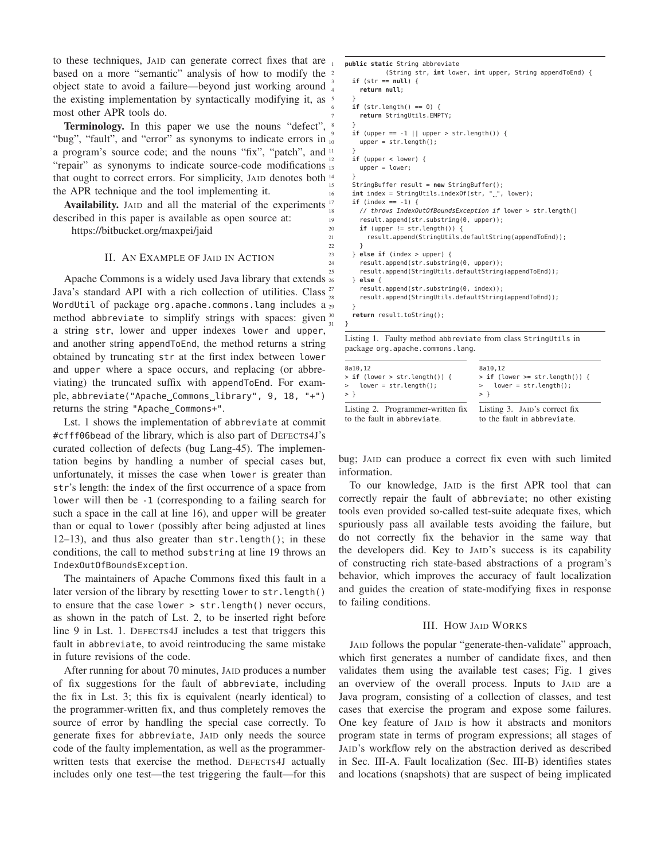to these techniques, JAID can generate correct fixes that are based on a more "semantic" analysis of how to modify the <sup>2</sup> object state to avoid a failure—beyond just working around the existing implementation by syntactically modifying it, as most other APR tools do.

Terminology. In this paper we use the nouns "defect", "bug", "fault", and "error" as synonyms to indicate errors in  $\frac{1}{10}$ a program's source code; and the nouns "fix", "patch", and  $\frac{11}{1}$ "repair" as synonyms to indicate source-code modifications that ought to correct errors. For simplicity, JAID denotes both  $\frac{14}{12}$ the APR technique and the tool implementing it.

Availability. JAID and all the material of the experiments described in this paper is available as open source at:

https://bitbucket.org/maxpei/jaid

#### II. AN EXAMPLE OF JAID IN ACTION

 $22$ 

Apache Commons is a widely used Java library that extends  $\frac{1}{26}$ Java's standard API with a rich collection of utilities. Class<sup>27</sup> WordUtil of package org.apache.commons.lang includes a  $_{29}$   $\longrightarrow$ method abbreviate to simplify strings with spaces: given 30 a string str, lower and upper indexes lower and upper, and another string appendToEnd, the method returns a string obtained by truncating str at the first index between lower and upper where a space occurs, and replacing (or abbreviating) the truncated suffix with appendToEnd. For example, abbreviate("Apache\_Commons\_library", 9, 18, "+") returns the string "Apache\_Commons+".

Lst. 1 shows the implementation of abbreviate at commit #cfff06bead of the library, which is also part of DEFECTS4J's curated collection of defects (bug Lang-45). The implementation begins by handling a number of special cases but, unfortunately, it misses the case when lower is greater than str's length: the index of the first occurrence of a space from lower will then be -1 (corresponding to a failing search for such a space in the call at line 16), and upper will be greater than or equal to lower (possibly after being adjusted at lines 12–13), and thus also greater than str.length(); in these conditions, the call to method substring at line 19 throws an IndexOutOfBoundsException.

The maintainers of Apache Commons fixed this fault in a later version of the library by resetting lower to str.length() to ensure that the case lower > str.length() never occurs, as shown in the patch of Lst. 2, to be inserted right before line 9 in Lst. 1. DEFECTS4J includes a test that triggers this fault in abbreviate, to avoid reintroducing the same mistake in future revisions of the code.

After running for about 70 minutes, JAID produces a number of fix suggestions for the fault of abbreviate, including the fix in Lst. 3; this fix is equivalent (nearly identical) to the programmer-written fix, and thus completely removes the source of error by handling the special case correctly. To generate fixes for abbreviate, JAID only needs the source code of the faulty implementation, as well as the programmerwritten tests that exercise the method. DEFECTS4J actually includes only one test—the test triggering the fault—for this

```
1 public static String abbreviate
               2 (String str, int lower, int upper, String appendToEnd) {
      if (str == null)4 return null;
 5 }
      if (str.length() == 0)7 return StringUtils.EMPTY;
 8 }
      if (upper == -1 || upper > str.length()) {
        upper = str.length();
      if (upper < lower) {
        upper = lower;15 StringBuffer result = new StringBuffer();
16 int index = StringUtils.indexOf(str, "<sub>-</sub>", lower);
      if (index == -1)18 // throws IndexOutOfBoundsException if lower > str.length()
19 result.append(str.substring(0, upper));
20 if (upper != str.length()) {
21 result.append(StringUtils.defaultString(appendToEnd));
23 } else if (index > upper) {
24 result.append(str.substring(0, upper));
        25 result.append(StringUtils.defaultString(appendToEnd));
      26 } else {
        result.append(str.substring(0, index));
        28 result.append(StringUtils.defaultString(appendToEnd));
      30 return result.toString();
    \, }
```
Listing 1. Faulty method abbreviate from class StringUtils in package org.apache.commons.lang.

| 8a10.12                           | 8a10.12                            |
|-----------------------------------|------------------------------------|
| $>$ if (lower $>$ str.length()) { | $>$ if (lower $>=$ str.length()) { |
| $>$ lower = str.length();         | $>$ lower = str.length();          |
| > }                               | > }                                |
| Listing 2. Programmer-written fix | Listing 3. JAID's correct fix      |
| to the fault in abbreviate.       | to the fault in abbreviate.        |

bug; JAID can produce a correct fix even with such limited information.

To our knowledge, JAID is the first APR tool that can correctly repair the fault of abbreviate; no other existing tools even provided so-called test-suite adequate fixes, which spuriously pass all available tests avoiding the failure, but do not correctly fix the behavior in the same way that the developers did. Key to JAID's success is its capability of constructing rich state-based abstractions of a program's behavior, which improves the accuracy of fault localization and guides the creation of state-modifying fixes in response to failing conditions.

# III. HOW JAID WORKS

JAID follows the popular "generate-then-validate" approach, which first generates a number of candidate fixes, and then validates them using the available test cases; Fig. 1 gives an overview of the overall process. Inputs to JAID are a Java program, consisting of a collection of classes, and test cases that exercise the program and expose some failures. One key feature of JAID is how it abstracts and monitors program state in terms of program expressions; all stages of JAID's workflow rely on the abstraction derived as described in Sec. III-A. Fault localization (Sec. III-B) identifies states and locations (snapshots) that are suspect of being implicated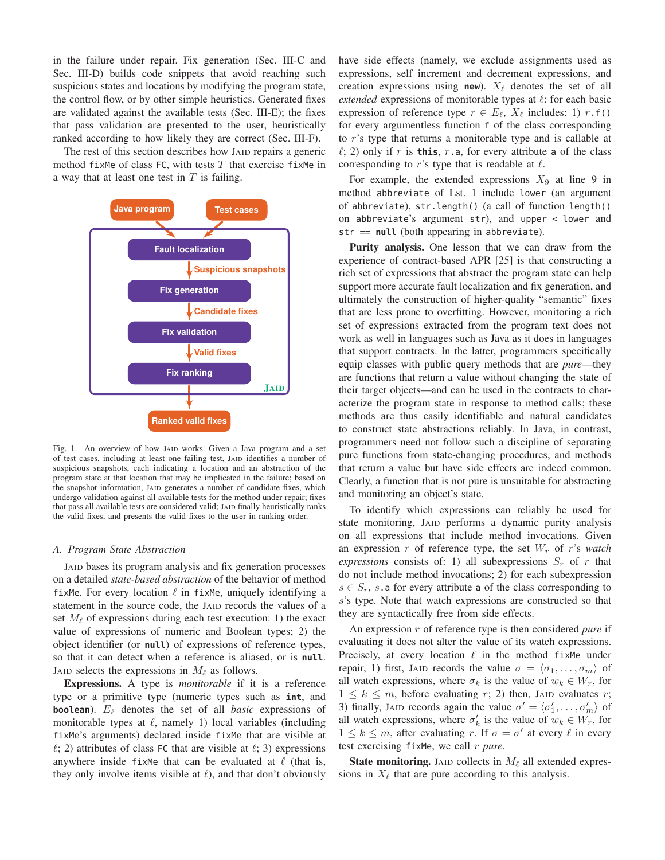in the failure under repair. Fix generation (Sec. III-C and Sec. III-D) builds code snippets that avoid reaching such suspicious states and locations by modifying the program state, the control flow, or by other simple heuristics. Generated fixes are validated against the available tests (Sec. III-E); the fixes that pass validation are presented to the user, heuristically ranked according to how likely they are correct (Sec. III-F).

The rest of this section describes how JAID repairs a generic method fixMe of class FC, with tests  $T$  that exercise fixMe in a way that at least one test in  $T$  is failing.



Fig. 1. An overview of how JAID works. Given a Java program and a set of test cases, including at least one failing test, JAID identifies a number of suspicious snapshots, each indicating a location and an abstraction of the program state at that location that may be implicated in the failure; based on the snapshot information, JAID generates a number of candidate fixes, which undergo validation against all available tests for the method under repair; fixes that pass all available tests are considered valid; JAID finally heuristically ranks the valid fixes, and presents the valid fixes to the user in ranking order.

#### *A. Program State Abstraction*

JAID bases its program analysis and fix generation processes on a detailed *state-based abstraction* of the behavior of method fixMe. For every location  $\ell$  in fixMe, uniquely identifying a statement in the source code, the JAID records the values of a set  $M_{\ell}$  of expressions during each test execution: 1) the exact value of expressions of numeric and Boolean types; 2) the object identifier (or **null**) of expressions of reference types, so that it can detect when a reference is aliased, or is **null**. JAID selects the expressions in  $M_{\ell}$  as follows.

Expressions. A type is *monitorable* if it is a reference type or a primitive type (numeric types such as **int**, and **boolean**).  $E_{\ell}$  denotes the set of all *basic* expressions of monitorable types at  $\ell$ , namely 1) local variables (including fixMe's arguments) declared inside fixMe that are visible at  $\ell$ ; 2) attributes of class FC that are visible at  $\ell$ ; 3) expressions anywhere inside fixMe that can be evaluated at  $\ell$  (that is, they only involve items visible at  $\ell$ ), and that don't obviously have side effects (namely, we exclude assignments used as expressions, self increment and decrement expressions, and creation expressions using **new**).  $X_{\ell}$  denotes the set of all  $extended$  expressions of monitorable types at  $\ell$ : for each basic expression of reference type  $r \in E_{\ell}$ ,  $X_{\ell}$  includes: 1)  $r \cdot f($ for every argumentless function f of the class corresponding to r's type that returns a monitorable type and is callable at  $\ell$ ; 2) only if r is this, r.a, for every attribute a of the class corresponding to r's type that is readable at  $\ell$ .

For example, the extended expressions  $X_9$  at line 9 in method abbreviate of Lst. 1 include lower (an argument of abbreviate), str.length() (a call of function length() on abbreviate's argument str), and upper < lower and str == **null** (both appearing in abbreviate).

Purity analysis. One lesson that we can draw from the experience of contract-based APR [25] is that constructing a rich set of expressions that abstract the program state can help support more accurate fault localization and fix generation, and ultimately the construction of higher-quality "semantic" fixes that are less prone to overfitting. However, monitoring a rich set of expressions extracted from the program text does not work as well in languages such as Java as it does in languages that support contracts. In the latter, programmers specifically equip classes with public query methods that are *pure*—they are functions that return a value without changing the state of their target objects—and can be used in the contracts to characterize the program state in response to method calls; these methods are thus easily identifiable and natural candidates to construct state abstractions reliably. In Java, in contrast, programmers need not follow such a discipline of separating pure functions from state-changing procedures, and methods that return a value but have side effects are indeed common. Clearly, a function that is not pure is unsuitable for abstracting and monitoring an object's state.

To identify which expressions can reliably be used for state monitoring, JAID performs a dynamic purity analysis on all expressions that include method invocations. Given an expression  $r$  of reference type, the set  $W_r$  of  $r$ 's *watch expressions* consists of: 1) all subexpressions  $S_r$  of r that do not include method invocations; 2) for each subexpression  $s \in S_r$ , s.a for every attribute a of the class corresponding to s's type. Note that watch expressions are constructed so that they are syntactically free from side effects.

An expression r of reference type is then considered *pure* if evaluating it does not alter the value of its watch expressions. Precisely, at every location  $\ell$  in the method fixMe under repair, 1) first, JAID records the value  $\sigma = \langle \sigma_1, \ldots, \sigma_m \rangle$  of all watch expressions, where  $\sigma_k$  is the value of  $w_k \in W_r$ , for  $1 \leq k \leq m$ , before evaluating r; 2) then, JAID evaluates r; 3) finally, JAID records again the value  $\sigma' = \langle \sigma'_1, \ldots, \sigma'_m \rangle$  of all watch expressions, where  $\sigma'_k$  is the value of  $w_k \in W_r$ , for  $1 \leq k \leq m$ , after evaluating r. If  $\sigma = \sigma'$  at every  $\ell$  in every test exercising fixMe, we call r *pure*.

State monitoring. JAID collects in  $M_{\ell}$  all extended expressions in  $X_{\ell}$  that are pure according to this analysis.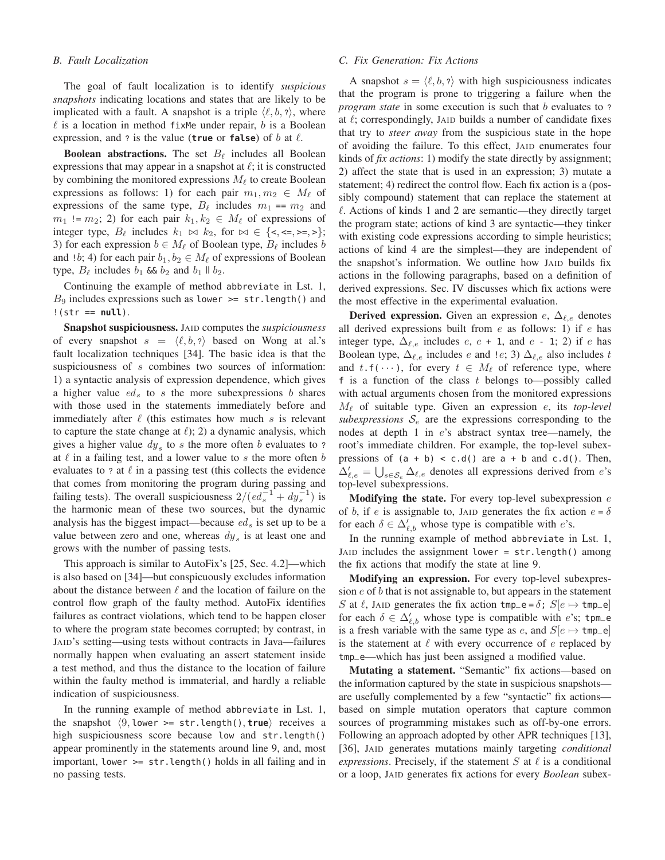# *B. Fault Localization*

The goal of fault localization is to identify *suspicious snapshots* indicating locations and states that are likely to be implicated with a fault. A snapshot is a triple  $\langle \ell, b, ? \rangle$ , where  $\ell$  is a location in method fixMe under repair, b is a Boolean expression, and  $?$  is the value ( $true$  or  $false$ ) of  $b$  at  $l$ .

**Boolean abstractions.** The set  $B_{\ell}$  includes all Boolean expressions that may appear in a snapshot at  $\ell$ ; it is constructed by combining the monitored expressions  $M_{\ell}$  to create Boolean expressions as follows: 1) for each pair  $m_1, m_2 \in M_{\ell}$  of expressions of the same type,  $B_{\ell}$  includes  $m_1 = m_2$  and  $m_1$  !=  $m_2$ ; 2) for each pair  $k_1, k_2 \in M_\ell$  of expressions of integer type,  $B_{\ell}$  includes  $k_1 \bowtie k_2$ , for  $\bowtie \in \{\text{<, <=, >=, >}\};$ 3) for each expression  $b \in M_{\ell}$  of Boolean type,  $B_{\ell}$  includes b and 1*b*; 4) for each pair  $b_1, b_2 \in M_\ell$  of expressions of Boolean type,  $B_{\ell}$  includes  $b_1$  &&  $b_2$  and  $b_1 \parallel b_2$ .

Continuing the example of method abbreviate in Lst. 1,  $B_9$  includes expressions such as lower >= str.length() and !(str == **null**).

Snapshot suspiciousness. JAID computes the *suspiciousness* of every snapshot  $s = \langle \ell, b, \gamma \rangle$  based on Wong at al.'s fault localization techniques [34]. The basic idea is that the suspiciousness of s combines two sources of information: 1) a syntactic analysis of expression dependence, which gives a higher value  $ed_s$  to s the more subexpressions  $b$  shares with those used in the statements immediately before and immediately after  $\ell$  (this estimates how much s is relevant to capture the state change at  $\ell$ ); 2) a dynamic analysis, which gives a higher value  $dy_s$  to s the more often b evaluates to ? at  $\ell$  in a failing test, and a lower value to s the more often b evaluates to ? at  $\ell$  in a passing test (this collects the evidence that comes from monitoring the program during passing and failing tests). The overall suspiciousness  $2/(ed_s^{-1} + dy_s^{-1})$  is the harmonic mean of these two sources, but the dynamic analysis has the biggest impact—because  $ed_s$  is set up to be a value between zero and one, whereas  $dy_s$  is at least one and grows with the number of passing tests.

This approach is similar to AutoFix's [25, Sec. 4.2]—which is also based on [34]—but conspicuously excludes information about the distance between  $\ell$  and the location of failure on the control flow graph of the faulty method. AutoFix identifies failures as contract violations, which tend to be happen closer to where the program state becomes corrupted; by contrast, in JAID's setting—using tests without contracts in Java—failures normally happen when evaluating an assert statement inside a test method, and thus the distance to the location of failure within the faulty method is immaterial, and hardly a reliable indication of suspiciousness.

In the running example of method abbreviate in Lst. 1, the snapshot  $\langle 9, \text{lower} \rangle = \text{str.length}(1), \text{true}$  receives a high suspiciousness score because low and str.length() appear prominently in the statements around line 9, and, most important, lower >= str.length() holds in all failing and in no passing tests.

# *C. Fix Generation: Fix Actions*

A snapshot  $s = \langle \ell, b, \gamma \rangle$  with high suspiciousness indicates that the program is prone to triggering a failure when the *program state* in some execution is such that b evaluates to ? at  $\ell$ ; correspondingly, JAID builds a number of candidate fixes that try to *steer away* from the suspicious state in the hope of avoiding the failure. To this effect, JAID enumerates four kinds of *fix actions*: 1) modify the state directly by assignment; 2) affect the state that is used in an expression; 3) mutate a statement; 4) redirect the control flow. Each fix action is a (possibly compound) statement that can replace the statement at  $\ell$ . Actions of kinds 1 and 2 are semantic—they directly target the program state; actions of kind 3 are syntactic—they tinker with existing code expressions according to simple heuristics; actions of kind 4 are the simplest—they are independent of the snapshot's information. We outline how JAID builds fix actions in the following paragraphs, based on a definition of derived expressions. Sec. IV discusses which fix actions were the most effective in the experimental evaluation.

**Derived expression.** Given an expression  $e$ ,  $\Delta_{\ell,e}$  denotes all derived expressions built from  $e$  as follows: 1) if  $e$  has integer type,  $\Delta_{\ell,e}$  includes  $e, e + 1$ , and  $e - 1$ ; 2) if  $e$  has Boolean type,  $\Delta_{\ell,e}$  includes e and  $\ell$ : 3)  $\Delta_{\ell,e}$  also includes t and  $t \cdot f(\cdots)$ , for every  $t \in M_{\ell}$  of reference type, where f is a function of the class  $t$  belongs to—possibly called with actual arguments chosen from the monitored expressions  $M_{\ell}$  of suitable type. Given an expression  $e$ , its *top-level subexpressions*  $S_e$  are the expressions corresponding to the nodes at depth 1 in e's abstract syntax tree—namely, the root's immediate children. For example, the top-level subexpressions of  $(a + b) < c.d$ ) are  $a + b$  and  $c.d$ ). Then,  $\Delta'_{\ell,e} = \bigcup_{s \in \mathcal{S}_e} \Delta_{\ell,e}$  denotes all expressions derived from e's top-level subexpressions.

**Modifying the state.** For every top-level subexpression  $e$ of b, if e is assignable to, JAID generates the fix action  $e = \delta$ for each  $\delta \in \Delta'_{\ell,b}$  whose type is compatible with e's.

In the running example of method abbreviate in Lst. 1, JAID includes the assignment lower = str.length() among the fix actions that modify the state at line 9.

Modifying an expression. For every top-level subexpression  $e$  of  $b$  that is not assignable to, but appears in the statement S at  $\ell$ , JAID generates the fix action tmp\_e =  $\delta$ ;  $S[e \mapsto \text{tmp\_e}]$ for each  $\delta \in \Delta'_{\ell,b}$  whose type is compatible with e's; tpm\_e is a fresh variable with the same type as  $e$ , and  $S[e \mapsto \text{tmp\_e}]$ is the statement at  $\ell$  with every occurrence of  $e$  replaced by tmp\_e—which has just been assigned a modified value.

Mutating a statement. "Semantic" fix actions—based on the information captured by the state in suspicious snapshots are usefully complemented by a few "syntactic" fix actions based on simple mutation operators that capture common sources of programming mistakes such as off-by-one errors. Following an approach adopted by other APR techniques [13], [36], JAID generates mutations mainly targeting *conditional expressions*. Precisely, if the statement  $S$  at  $\ell$  is a conditional or a loop, JAID generates fix actions for every *Boolean* subex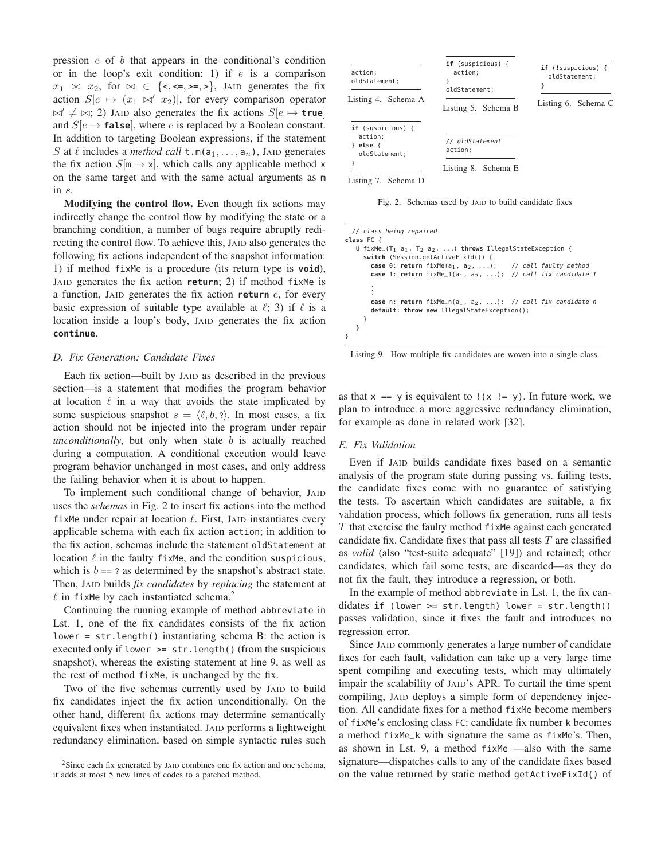pression  $e$  of  $b$  that appears in the conditional's condition or in the loop's exit condition: 1) if  $e$  is a comparison  $x_1 \bowtie x_2$ , for  $\bowtie \in \{\langle \langle \langle \langle \langle \langle \langle \langle \rangle \rangle \rangle \rangle \rangle \rangle \}$  JAID generates the fix action  $S[e \mapsto (x_1 \bowtie' x_2)]$ , for every comparison operator  $\bowtie' \neq \bowtie$ ; 2) JAID also generates the fix actions  $S[e \mapsto \text{true}]$ and  $S[e \mapsto \text{false}]$ , where e is replaced by a Boolean constant. In addition to targeting Boolean expressions, if the statement S at  $\ell$  includes a *method call*  $t \cdot m(a_1, \ldots, a_n)$ , JAID generates the fix action  $S[\mathfrak{m} \mapsto \mathfrak{x}]$ , which calls any applicable method x on the same target and with the same actual arguments as m in s.

Modifying the control flow. Even though fix actions may indirectly change the control flow by modifying the state or a branching condition, a number of bugs require abruptly redirecting the control flow. To achieve this, JAID also generates the following fix actions independent of the snapshot information: 1) if method fixMe is a procedure (its return type is **void**), JAID generates the fix action **return**; 2) if method fixMe is a function, JAID generates the fix action **return** e, for every basic expression of suitable type available at  $\ell$ ; 3) if  $\ell$  is a location inside a loop's body, JAID generates the fix action **continue**.

# *D. Fix Generation: Candidate Fixes*

Each fix action—built by JAID as described in the previous section—is a statement that modifies the program behavior at location  $\ell$  in a way that avoids the state implicated by some suspicious snapshot  $s = \langle \ell, b, ? \rangle$ . In most cases, a fix action should not be injected into the program under repair  $unconditionally$ , but only when state  $b$  is actually reached during a computation. A conditional execution would leave program behavior unchanged in most cases, and only address the failing behavior when it is about to happen.

To implement such conditional change of behavior, JAID uses the *schemas* in Fig. 2 to insert fix actions into the method fixMe under repair at location  $\ell$ . First, JAID instantiates every applicable schema with each fix action action; in addition to the fix action, schemas include the statement oldStatement at location  $\ell$  in the faulty fixMe, and the condition suspicious, which is  $b == ?$  as determined by the snapshot's abstract state. Then, JAID builds *fix candidates* by *replacing* the statement at  $\ell$  in fixMe by each instantiated schema.<sup>2</sup>

Continuing the running example of method abbreviate in Lst. 1, one of the fix candidates consists of the fix action lower = str.length() instantiating schema B: the action is executed only if lower  $>=$  str. length() (from the suspicious snapshot), whereas the existing statement at line 9, as well as the rest of method fixMe, is unchanged by the fix.

Two of the five schemas currently used by JAID to build fix candidates inject the fix action unconditionally. On the other hand, different fix actions may determine semantically equivalent fixes when instantiated. JAID performs a lightweight redundancy elimination, based on simple syntactic rules such

| action:<br>oldStatement:                                               | $if$ (suspicious) {<br>action:<br>oldStatement:   | <b>if</b> (!suspicious) {<br>oldStatement: |  |  |  |
|------------------------------------------------------------------------|---------------------------------------------------|--------------------------------------------|--|--|--|
| Listing 4. Schema A                                                    | Listing 5. Schema B                               | Listing 6. Schema C                        |  |  |  |
| <b>if</b> (suspicious) {<br>action:<br>$\}$ else $\{$<br>oldStatement: | // oldStatement<br>action:<br>Listing 8. Schema E |                                            |  |  |  |

Listing 7. Schema D

Fig. 2. Schemas used by JAID to build candidate fixes

```
// class being repaired
class FC {
   U fixMe<sub>-</sub>(T<sub>1</sub> a<sub>1</sub>, T<sub>2</sub> a<sub>2</sub>, ...) throws IllegalStateException {
      switch (Session.getActiveFixId()) {
        case 0: return fixMe(a<sub>1</sub>, a<sub>2</sub>, ...); // call faulty method
        case 1: return fixMe_1(a1, a2, ...); // call fix candidate 1
        .
        .
        .
        case n: return fixMe_n(a1, a2, ...); // call fix candidate n
        default: throw new IllegalStateException();
     }
   }
}
```
Listing 9. How multiple fix candidates are woven into a single class.

as that  $x == y$  is equivalent to  $\lvert (x != y) \rvert$ . In future work, we plan to introduce a more aggressive redundancy elimination, for example as done in related work [32].

#### *E. Fix Validation*

Even if JAID builds candidate fixes based on a semantic analysis of the program state during passing vs. failing tests, the candidate fixes come with no guarantee of satisfying the tests. To ascertain which candidates are suitable, a fix validation process, which follows fix generation, runs all tests  $T$  that exercise the faulty method fixMe against each generated candidate fix. Candidate fixes that pass all tests  $T$  are classified as *valid* (also "test-suite adequate" [19]) and retained; other candidates, which fail some tests, are discarded—as they do not fix the fault, they introduce a regression, or both.

In the example of method abbreviate in Lst. 1, the fix candidates **if** (lower >= str.length) lower = str.length() passes validation, since it fixes the fault and introduces no regression error.

Since JAID commonly generates a large number of candidate fixes for each fault, validation can take up a very large time spent compiling and executing tests, which may ultimately impair the scalability of JAID's APR. To curtail the time spent compiling, JAID deploys a simple form of dependency injection. All candidate fixes for a method fixMe become members of fixMe's enclosing class FC: candidate fix number k becomes a method fixMe\_k with signature the same as fixMe's. Then, as shown in Lst. 9, a method fixMe\_—also with the same signature—dispatches calls to any of the candidate fixes based on the value returned by static method getActiveFixId() of

<sup>&</sup>lt;sup>2</sup>Since each fix generated by JAID combines one fix action and one schema, it adds at most 5 new lines of codes to a patched method.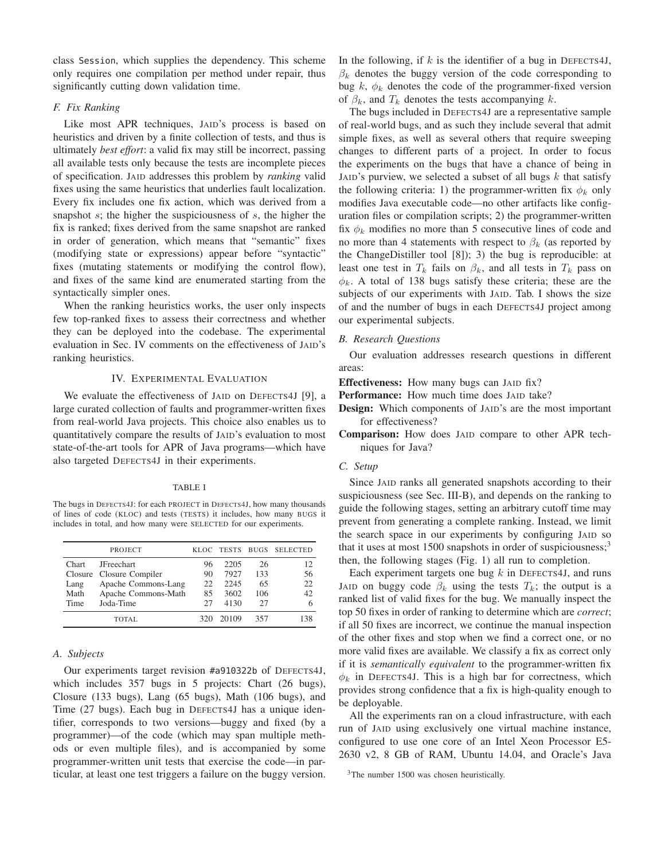class Session, which supplies the dependency. This scheme only requires one compilation per method under repair, thus significantly cutting down validation time.

# *F. Fix Ranking*

Like most APR techniques, JAID's process is based on heuristics and driven by a finite collection of tests, and thus is ultimately *best effort*: a valid fix may still be incorrect, passing all available tests only because the tests are incomplete pieces of specification. JAID addresses this problem by *ranking* valid fixes using the same heuristics that underlies fault localization. Every fix includes one fix action, which was derived from a snapshot  $s$ ; the higher the suspiciousness of  $s$ , the higher the fix is ranked; fixes derived from the same snapshot are ranked in order of generation, which means that "semantic" fixes (modifying state or expressions) appear before "syntactic" fixes (mutating statements or modifying the control flow), and fixes of the same kind are enumerated starting from the syntactically simpler ones.

When the ranking heuristics works, the user only inspects few top-ranked fixes to assess their correctness and whether they can be deployed into the codebase. The experimental evaluation in Sec. IV comments on the effectiveness of JAID's ranking heuristics.

# IV. EXPERIMENTAL EVALUATION

We evaluate the effectiveness of JAID on DEFECTS4J [9], a large curated collection of faults and programmer-written fixes from real-world Java projects. This choice also enables us to quantitatively compare the results of JAID's evaluation to most state-of-the-art tools for APR of Java programs—which have also targeted DEFECTS4J in their experiments.

#### TABLE I

The bugs in DEFECTS4J: for each PROJECT in DEFECTS4J, how many thousands of lines of code (KLOC) and tests (TESTS) it includes, how many BUGS it includes in total, and how many were SELECTED for our experiments.

|              | PROJECT                  |     |       |     | KLOC TESTS BUGS SELECTED |
|--------------|--------------------------|-----|-------|-----|--------------------------|
| <b>Chart</b> | <b>JFreechart</b>        | 96  | 2205  | 26  | 12.                      |
|              | Closure Closure Compiler | 90  | 7927  | 133 | 56                       |
| Lang         | Apache Commons-Lang      | 22  | 2245  | 65  | 22                       |
| Math         | Apache Commons-Math      | 85  | 3602  | 106 | 42                       |
| Time         | Joda-Time                | 27  | 4130  | 27  | 6                        |
|              | TOTAL                    | 320 | 20109 | 357 | 138                      |

## *A. Subjects*

Our experiments target revision #a910322b of DEFECTS4J, which includes 357 bugs in 5 projects: Chart (26 bugs), Closure (133 bugs), Lang (65 bugs), Math (106 bugs), and Time (27 bugs). Each bug in DEFECTS4J has a unique identifier, corresponds to two versions—buggy and fixed (by a programmer)—of the code (which may span multiple methods or even multiple files), and is accompanied by some programmer-written unit tests that exercise the code—in particular, at least one test triggers a failure on the buggy version. In the following, if  $k$  is the identifier of a bug in DEFECTS4J,  $\beta_k$  denotes the buggy version of the code corresponding to bug  $k$ ,  $\phi_k$  denotes the code of the programmer-fixed version of  $\beta_k$ , and  $T_k$  denotes the tests accompanying k.

The bugs included in DEFECTS4J are a representative sample of real-world bugs, and as such they include several that admit simple fixes, as well as several others that require sweeping changes to different parts of a project. In order to focus the experiments on the bugs that have a chance of being in JAID's purview, we selected a subset of all bugs  $k$  that satisfy the following criteria: 1) the programmer-written fix  $\phi_k$  only modifies Java executable code—no other artifacts like configuration files or compilation scripts; 2) the programmer-written fix  $\phi_k$  modifies no more than 5 consecutive lines of code and no more than 4 statements with respect to  $\beta_k$  (as reported by the ChangeDistiller tool [8]); 3) the bug is reproducible: at least one test in  $T_k$  fails on  $\beta_k$ , and all tests in  $T_k$  pass on  $\phi_k$ . A total of 138 bugs satisfy these criteria; these are the subjects of our experiments with JAID. Tab. I shows the size of and the number of bugs in each DEFECTS4J project among our experimental subjects.

## *B. Research Questions*

Our evaluation addresses research questions in different areas:

- Effectiveness: How many bugs can JAID fix?
- Performance: How much time does JAID take?
- Design: Which components of JAID's are the most important for effectiveness?
- Comparison: How does JAID compare to other APR techniques for Java?

## *C. Setup*

Since JAID ranks all generated snapshots according to their suspiciousness (see Sec. III-B), and depends on the ranking to guide the following stages, setting an arbitrary cutoff time may prevent from generating a complete ranking. Instead, we limit the search space in our experiments by configuring JAID so that it uses at most 1500 snapshots in order of suspiciousness;<sup>3</sup> then, the following stages (Fig. 1) all run to completion.

Each experiment targets one bug  $k$  in DEFECTS4J, and runs JAID on buggy code  $\beta_k$  using the tests  $T_k$ ; the output is a ranked list of valid fixes for the bug. We manually inspect the top 50 fixes in order of ranking to determine which are *correct*; if all 50 fixes are incorrect, we continue the manual inspection of the other fixes and stop when we find a correct one, or no more valid fixes are available. We classify a fix as correct only if it is *semantically equivalent* to the programmer-written fix  $\phi_k$  in DEFECTS4J. This is a high bar for correctness, which provides strong confidence that a fix is high-quality enough to be deployable.

All the experiments ran on a cloud infrastructure, with each run of JAID using exclusively one virtual machine instance, configured to use one core of an Intel Xeon Processor E5- 2630 v2, 8 GB of RAM, Ubuntu 14.04, and Oracle's Java

 $3$ The number 1500 was chosen heuristically.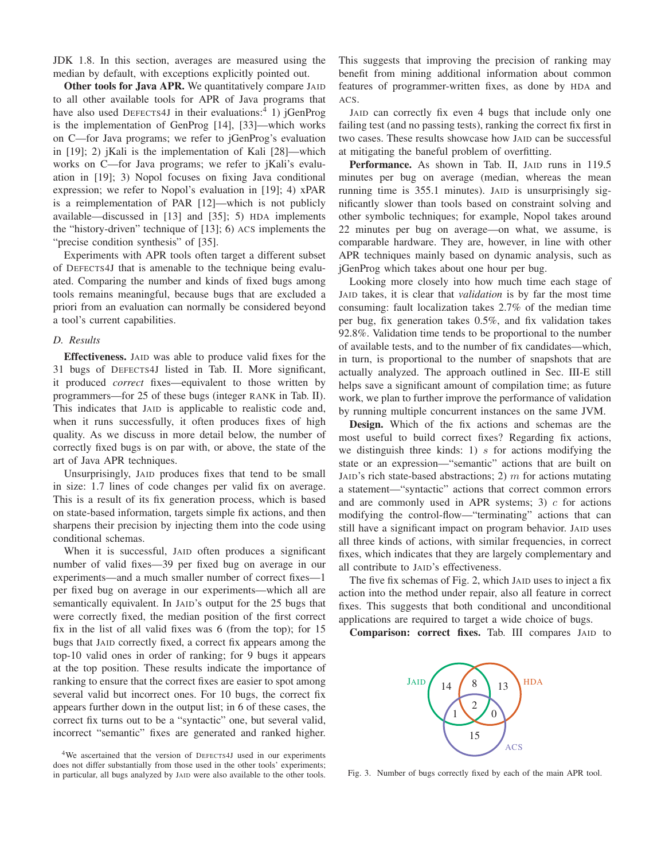JDK 1.8. In this section, averages are measured using the median by default, with exceptions explicitly pointed out.

Other tools for Java APR. We quantitatively compare JAID to all other available tools for APR of Java programs that have also used DEFECTS4J in their evaluations: $4$  1) jGenProg is the implementation of GenProg [14], [33]—which works on C—for Java programs; we refer to jGenProg's evaluation in [19]; 2) jKali is the implementation of Kali [28]—which works on C—for Java programs; we refer to jKali's evaluation in [19]; 3) Nopol focuses on fixing Java conditional expression; we refer to Nopol's evaluation in [19]; 4) xPAR is a reimplementation of PAR [12]—which is not publicly available—discussed in [13] and [35]; 5) HDA implements the "history-driven" technique of [13]; 6) ACS implements the "precise condition synthesis" of [35].

Experiments with APR tools often target a different subset of DEFECTS4J that is amenable to the technique being evaluated. Comparing the number and kinds of fixed bugs among tools remains meaningful, because bugs that are excluded a priori from an evaluation can normally be considered beyond a tool's current capabilities.

#### *D. Results*

Effectiveness. JAID was able to produce valid fixes for the 31 bugs of DEFECTS4J listed in Tab. II. More significant, it produced *correct* fixes—equivalent to those written by programmers—for 25 of these bugs (integer RANK in Tab. II). This indicates that JAID is applicable to realistic code and, when it runs successfully, it often produces fixes of high quality. As we discuss in more detail below, the number of correctly fixed bugs is on par with, or above, the state of the art of Java APR techniques.

Unsurprisingly, JAID produces fixes that tend to be small in size: 1.7 lines of code changes per valid fix on average. This is a result of its fix generation process, which is based on state-based information, targets simple fix actions, and then sharpens their precision by injecting them into the code using conditional schemas.

When it is successful, JAID often produces a significant number of valid fixes—39 per fixed bug on average in our experiments—and a much smaller number of correct fixes—1 per fixed bug on average in our experiments—which all are semantically equivalent. In JAID's output for the 25 bugs that were correctly fixed, the median position of the first correct fix in the list of all valid fixes was 6 (from the top); for 15 bugs that JAID correctly fixed, a correct fix appears among the top-10 valid ones in order of ranking; for 9 bugs it appears at the top position. These results indicate the importance of ranking to ensure that the correct fixes are easier to spot among several valid but incorrect ones. For 10 bugs, the correct fix appears further down in the output list; in 6 of these cases, the correct fix turns out to be a "syntactic" one, but several valid, incorrect "semantic" fixes are generated and ranked higher.

4We ascertained that the version of DEFECTS4J used in our experiments does not differ substantially from those used in the other tools' experiments; in particular, all bugs analyzed by JAID were also available to the other tools. This suggests that improving the precision of ranking may benefit from mining additional information about common features of programmer-written fixes, as done by HDA and ACS.

JAID can correctly fix even 4 bugs that include only one failing test (and no passing tests), ranking the correct fix first in two cases. These results showcase how JAID can be successful at mitigating the baneful problem of overfitting.

Performance. As shown in Tab. II, JAID runs in 119.5 minutes per bug on average (median, whereas the mean running time is 355.1 minutes). JAID is unsurprisingly significantly slower than tools based on constraint solving and other symbolic techniques; for example, Nopol takes around 22 minutes per bug on average—on what, we assume, is comparable hardware. They are, however, in line with other APR techniques mainly based on dynamic analysis, such as jGenProg which takes about one hour per bug.

Looking more closely into how much time each stage of JAID takes, it is clear that *validation* is by far the most time consuming: fault localization takes 2.7% of the median time per bug, fix generation takes 0.5%, and fix validation takes 92.8%. Validation time tends to be proportional to the number of available tests, and to the number of fix candidates—which, in turn, is proportional to the number of snapshots that are actually analyzed. The approach outlined in Sec. III-E still helps save a significant amount of compilation time; as future work, we plan to further improve the performance of validation by running multiple concurrent instances on the same JVM.

Design. Which of the fix actions and schemas are the most useful to build correct fixes? Regarding fix actions, we distinguish three kinds: 1) s for actions modifying the state or an expression—"semantic" actions that are built on JAID's rich state-based abstractions; 2)  $m$  for actions mutating a statement—"syntactic" actions that correct common errors and are commonly used in APR systems; 3)  $c$  for actions modifying the control-flow—"terminating" actions that can still have a significant impact on program behavior. JAID uses all three kinds of actions, with similar frequencies, in correct fixes, which indicates that they are largely complementary and all contribute to JAID's effectiveness.

The five fix schemas of Fig. 2, which JAID uses to inject a fix action into the method under repair, also all feature in correct fixes. This suggests that both conditional and unconditional applications are required to target a wide choice of bugs.

Comparison: correct fixes. Tab. III compares JAID to



Fig. 3. Number of bugs correctly fixed by each of the main APR tool.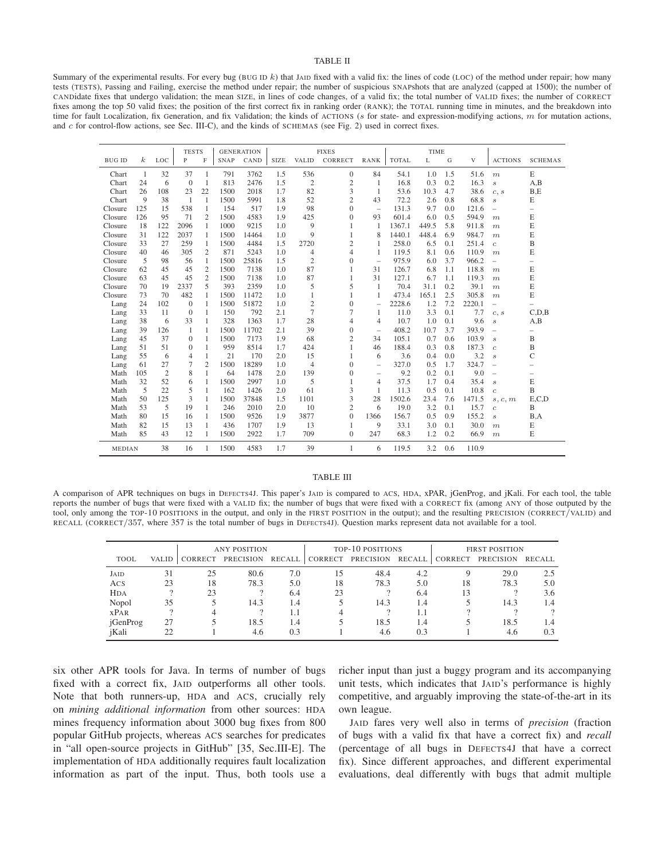#### TABLE II

Summary of the experimental results. For every bug (BUG ID k) that JAID fixed with a valid fix: the lines of code (LOC) of the method under repair; how many tests (TESTS), Passing and Failing, exercise the method under repair; the number of suspicious SNAPshots that are analyzed (capped at 1500); the number of CANDidate fixes that undergo validation; the mean SIZE, in lines of code changes, of a valid fix; the total number of VALID fixes; the number of CORRECT fixes among the top 50 valid fixes; the position of the first correct fix in ranking order (RANK); the TOTAL running time in minutes, and the breakdown into time for fault Localization, fix Generation, and fix Validation; the kinds of ACTIONS ( $s$  for state- and expression-modifying actions,  $m$  for mutation actions, and c for control-flow actions, see Sec. III-C), and the kinds of SCHEMAS (see Fig. 2) used in correct fixes.

|               |          |                | <b>TESTS</b>   |                |             | <b>GENERATION</b> | <b>FIXES</b> |                | TIME             |                          |              |       |     |        |                          |                          |
|---------------|----------|----------------|----------------|----------------|-------------|-------------------|--------------|----------------|------------------|--------------------------|--------------|-------|-----|--------|--------------------------|--------------------------|
| <b>BUG ID</b> | $\kappa$ | LOC            | $\mathbf{P}$   | F              | <b>SNAP</b> | CAND              | <b>SIZE</b>  | <b>VALID</b>   | CORRECT          | <b>RANK</b>              | <b>TOTAL</b> | L     | G   | V      | <b>ACTIONS</b>           | <b>SCHEMAS</b>           |
| Chart         | 1        | 32             | 37             | 1              | 791         | 3762              | 1.5          | 536            | $\mathbf{0}$     | 84                       | 54.1         | 1.0   | 1.5 | 51.6   | m                        | E                        |
| Chart         | 24       | 6              | $\theta$       | 1              | 813         | 2476              | 1.5          | $\overline{2}$ | $\overline{2}$   | 1                        | 16.8         | 0.3   | 0.2 | 16.3   | $\boldsymbol{s}$         | A, B                     |
| Chart         | 26       | 108            | 23             | 22             | 1500        | 2018              | 1.7          | 82             | 3                | 1                        | 53.6         | 10.3  | 4.7 | 38.6   | c, s                     | B.E                      |
| Chart         | 9        | 38             | $\mathbf{1}$   | $\mathbf{1}$   | 1500        | 5991              | 1.8          | 52             | $\mathfrak{2}$   | 43                       | 72.2         | 2.6   | 0.8 | 68.8   | $\boldsymbol{s}$         | E                        |
| Closure       | 125      | 15             | 538            | 1              | 154         | 517               | 1.9          | 98             | $\mathbf{0}$     | $\qquad \qquad -$        | 131.3        | 9.7   | 0.0 | 121.6  | $\qquad \qquad -$        | -                        |
| Closure       | 126      | 95             | 71             | $\overline{2}$ | 1500        | 4583              | 1.9          | 425            | $\mathbf{0}$     | 93                       | 601.4        | 6.0   | 0.5 | 594.9  | m                        | E                        |
| Closure       | 18       | 122            | 2096           | 1              | 1000        | 9215              | 1.0          | 9              | 1                |                          | 1367.1       | 449.5 | 5.8 | 911.8  | $\boldsymbol{m}$         | E                        |
| Closure       | 31       | 122            | 2037           | 1              | 1500        | 14464             | 1.0          | 9              | 1                | 8                        | 1440.1       | 448.4 | 6.9 | 984.7  | $\boldsymbol{m}$         | E                        |
| Closure       | 33       | 27             | 259            | 1              | 1500        | 4484              | 1.5          | 2720           | $\overline{c}$   |                          | 258.0        | 6.5   | 0.1 | 251.4  | $\overline{c}$           | B                        |
| Closure       | 40       | 46             | 305            | $\overline{2}$ | 871         | 5243              | 1.0          | $\overline{4}$ | $\overline{4}$   | 1                        | 119.5        | 8.1   | 0.6 | 110.9  | $\boldsymbol{m}$         | E                        |
| Closure       | 5        | 98             | 56             | 1              | 1500        | 25816             | 1.5          | $\overline{2}$ | $\mathbf{0}$     | $\overline{\phantom{m}}$ | 975.9        | 6.0   | 3.7 | 966.2  | ÷,                       | $\qquad \qquad -$        |
| Closure       | 62       | 45             | 45             | $\overline{2}$ | 1500        | 7138              | 1.0          | 87             | 1                | 31                       | 126.7        | 6.8   | 1.1 | 118.8  | m                        | E                        |
| Closure       | 63       | 45             | 45             | $\overline{2}$ | 1500        | 7138              | 1.0          | 87             | 1                | 31                       | 127.1        | 6.7   | 1.1 | 119.3  | $\boldsymbol{m}$         | E                        |
| Closure       | 70       | 19             | 2337           | 5              | 393         | 2359              | 1.0          | 5              | 5                | 1                        | 70.4         | 31.1  | 0.2 | 39.1   | m                        | E                        |
| Closure       | 73       | 70             | 482            | 1              | 1500        | 11472             | 1.0          | 1              | 1                |                          | 473.4        | 165.1 | 2.5 | 305.8  | m                        | E                        |
| Lang          | 24       | 102            | $\mathbf{0}$   | 1              | 1500        | 51872             | 1.0          | $\overline{2}$ | $\boldsymbol{0}$ | $\overline{\phantom{0}}$ | 2228.6       | 1.2   | 7.2 | 2220.1 | $\overline{\phantom{0}}$ | $\overline{\phantom{0}}$ |
| Lang          | 33       | 11             | $\theta$       | 1              | 150         | 792               | 2.1          | $\overline{7}$ | 7                | 1                        | 11.0         | 3.3   | 0.1 | 7.7    | c, s                     | C.D.B                    |
| Lang          | 38       | 6              | 33             | 1              | 328         | 1363              | 1.7          | 28             | 4                | 4                        | 10.7         | 1.0   | 0.1 | 9.6    | $\boldsymbol{s}$         | A, B                     |
| Lang          | 39       | 126            | 1              | 1              | 1500        | 11702             | 2.1          | 39             | $\overline{0}$   | $\overline{\phantom{m}}$ | 408.2        | 10.7  | 3.7 | 393.9  | $\qquad \qquad -$        | $\overline{\phantom{0}}$ |
| Lang          | 45       | 37             | $\mathbf{0}$   | $\mathbf{1}$   | 1500        | 7173              | 1.9          | 68             | $\overline{c}$   | 34                       | 105.1        | 0.7   | 0.6 | 103.9  | $\boldsymbol{s}$         | B                        |
| Lang          | 51       | 51             | $\mathbf{0}$   | 1              | 959         | 8514              | 1.7          | 424            | 1                | 46                       | 188.4        | 0.3   | 0.8 | 187.3  | $\overline{c}$           | B                        |
| Lang          | 55       | 6              | $\overline{4}$ | 1              | 21          | 170               | 2.0          | 15             | 1                | 6                        | 3.6          | 0.4   | 0.0 | 3.2    | $\boldsymbol{s}$         | $\mathsf{C}$             |
| Lang          | 61       | 27             | 7              | $\overline{2}$ | 1500        | 18289             | 1.0          | $\overline{4}$ | $\mathbf{0}$     | $\qquad \qquad -$        | 327.0        | 0.5   | 1.7 | 324.7  | $\overline{\phantom{a}}$ | -                        |
| Math          | 105      | $\overline{2}$ | 8              | $\mathbf{1}$   | 64          | 1478              | 2.0          | 139            | $\boldsymbol{0}$ | $\qquad \qquad -$        | 9.2          | 0.2   | 0.1 | 9.0    | $\overline{\phantom{a}}$ | -                        |
| Math          | 32       | 52             | 6              | 1              | 1500        | 2997              | 1.0          | 5              | 1                | 4                        | 37.5         | 1.7   | 0.4 | 35.4   | $\boldsymbol{s}$         | E                        |
| Math          | 5        | 22             | 5              | 1              | 162         | 1426              | 2.0          | 61             | 3                | 1                        | 11.3         | 0.5   | 0.1 | 10.8   | $\overline{c}$           | B                        |
| Math          | 50       | 125            | 3              | 1              | 1500        | 37848             | 1.5          | 1101           | 3                | 28                       | 1502.6       | 23.4  | 7.6 | 1471.5 | s, c, m                  | E.C.D                    |
| Math          | 53       | 5              | 19             | 1              | 246         | 2010              | 2.0          | 10             | $\mathfrak{2}$   | 6                        | 19.0         | 3.2   | 0.1 | 15.7   | $\overline{c}$           | B                        |
| Math          | 80       | 15             | 16             | 1              | 1500        | 9526              | 1.9          | 3877           | $\mathbf{0}$     | 1366                     | 156.7        | 0.5   | 0.9 | 155.2  | $\overline{s}$           | B, A                     |
| Math          | 82       | 15             | 13             | 1              | 436         | 1707              | 1.9          | 13             | 1                | 9                        | 33.1         | 3.0   | 0.1 | 30.0   | m                        | E                        |
| Math          | 85       | 43             | 12             | 1              | 1500        | 2922              | 1.7          | 709            | $\mathbf{0}$     | 247                      | 68.3         | 1.2   | 0.2 | 66.9   | m                        | E                        |
| <b>MEDIAN</b> |          | 38             | 16             | 1              | 1500        | 4583              | 1.7          | 39             | 1                | 6                        | 119.5        | 3.2   | 0.6 | 110.9  |                          |                          |

#### TABLE III

A comparison of APR techniques on bugs in DEFECTS4J. This paper's JAID is compared to ACS, HDA, xPAR, jGenProg, and jKali. For each tool, the table reports the number of bugs that were fixed with a VALID fix; the number of bugs that were fixed with a CORRECT fix (among ANY of those outputed by the tool, only among the TOP-10 POSITIONS in the output, and only in the FIRST POSITION in the output); and the resulting PRECISION (CORRECT/VALID) and RECALL (CORRECT/357, where 357 is the total number of bugs in DEFECTS4J). Question marks represent data not available for a tool.

|            |              |         | <b>ANY POSITION</b> |        |         | TOP-10 POSITIONS |        | <b>FIRST POSITION</b> |           |        |  |
|------------|--------------|---------|---------------------|--------|---------|------------------|--------|-----------------------|-----------|--------|--|
| TOOL       | <b>VALID</b> | CORRECT | <b>PRECISION</b>    | RECALL | CORRECT | PRECISION        | RECALL | CORRECT               | PRECISION | RECALL |  |
| JAID       | 31           | 25      | 80.6                | 7.0    | 15      | 48.4             | 4.2    |                       | 29.0      | 2.5    |  |
| ACS        | 23           | 18      | 78.3                | 5.0    | 18      | 78.3             | 5.0    | 18                    | 78.3      | 5.0    |  |
| <b>HDA</b> |              | 23      |                     | 6.4    | 23      |                  | 6.4    | 13                    |           | 3.6    |  |
| Nopol      | 35           |         | 14.3                | 1.4    |         | 14.3             | 1.4    |                       | 14.3      | 1.4    |  |
| $x$ P $AR$ |              |         |                     |        |         |                  | 1.1    |                       |           |        |  |
| jGenProg   | 27           |         | 18.5                | 1.4    |         | 18.5             | 1.4    |                       | 18.5      | 1.4    |  |
| jKali      | 22           |         | 4.6                 | 0.3    |         | 4.6              | 0.3    |                       | 4.6       | 0.3    |  |

six other APR tools for Java. In terms of number of bugs fixed with a correct fix, JAID outperforms all other tools. Note that both runners-up, HDA and ACS, crucially rely on *mining additional information* from other sources: HDA mines frequency information about 3000 bug fixes from 800 popular GitHub projects, whereas ACS searches for predicates in "all open-source projects in GitHub" [35, Sec.III-E]. The implementation of HDA additionally requires fault localization information as part of the input. Thus, both tools use a richer input than just a buggy program and its accompanying unit tests, which indicates that JAID's performance is highly competitive, and arguably improving the state-of-the-art in its own league.

JAID fares very well also in terms of *precision* (fraction of bugs with a valid fix that have a correct fix) and *recall* (percentage of all bugs in DEFECTS4J that have a correct fix). Since different approaches, and different experimental evaluations, deal differently with bugs that admit multiple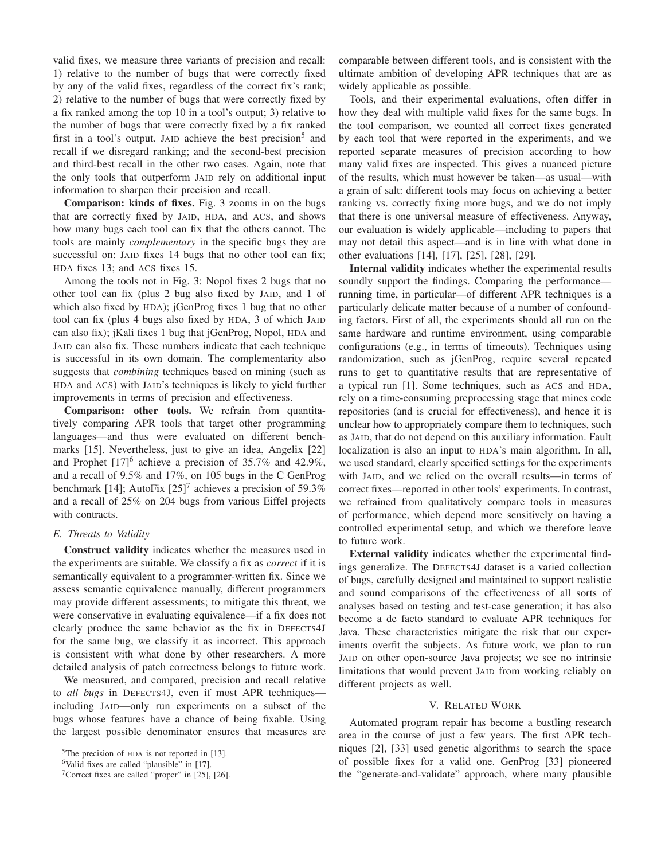valid fixes, we measure three variants of precision and recall: 1) relative to the number of bugs that were correctly fixed by any of the valid fixes, regardless of the correct fix's rank; 2) relative to the number of bugs that were correctly fixed by a fix ranked among the top 10 in a tool's output; 3) relative to the number of bugs that were correctly fixed by a fix ranked first in a tool's output. JAID achieve the best precision<sup>5</sup> and recall if we disregard ranking; and the second-best precision and third-best recall in the other two cases. Again, note that the only tools that outperform JAID rely on additional input information to sharpen their precision and recall.

Comparison: kinds of fixes. Fig. 3 zooms in on the bugs that are correctly fixed by JAID, HDA, and ACS, and shows how many bugs each tool can fix that the others cannot. The tools are mainly *complementary* in the specific bugs they are successful on: JAID fixes 14 bugs that no other tool can fix; HDA fixes 13; and ACS fixes 15.

Among the tools not in Fig. 3: Nopol fixes 2 bugs that no other tool can fix (plus 2 bug also fixed by JAID, and 1 of which also fixed by HDA); jGenProg fixes 1 bug that no other tool can fix (plus 4 bugs also fixed by HDA, 3 of which JAID can also fix); jKali fixes 1 bug that jGenProg, Nopol, HDA and JAID can also fix. These numbers indicate that each technique is successful in its own domain. The complementarity also suggests that *combining* techniques based on mining (such as HDA and ACS) with JAID's techniques is likely to yield further improvements in terms of precision and effectiveness.

Comparison: other tools. We refrain from quantitatively comparing APR tools that target other programming languages—and thus were evaluated on different benchmarks [15]. Nevertheless, just to give an idea, Angelix [22] and Prophet  $[17]^{6}$  achieve a precision of 35.7% and 42.9%, and a recall of 9.5% and 17%, on 105 bugs in the C GenProg benchmark [14]; AutoFix [25]<sup>7</sup> achieves a precision of 59.3% and a recall of 25% on 204 bugs from various Eiffel projects with contracts.

## *E. Threats to Validity*

Construct validity indicates whether the measures used in the experiments are suitable. We classify a fix as *correct* if it is semantically equivalent to a programmer-written fix. Since we assess semantic equivalence manually, different programmers may provide different assessments; to mitigate this threat, we were conservative in evaluating equivalence—if a fix does not clearly produce the same behavior as the fix in DEFECTS4J for the same bug, we classify it as incorrect. This approach is consistent with what done by other researchers. A more detailed analysis of patch correctness belongs to future work.

We measured, and compared, precision and recall relative to *all bugs* in DEFECTS4J, even if most APR techniques including JAID—only run experiments on a subset of the bugs whose features have a chance of being fixable. Using the largest possible denominator ensures that measures are

6Valid fixes are called "plausible" in [17].

comparable between different tools, and is consistent with the ultimate ambition of developing APR techniques that are as widely applicable as possible.

Tools, and their experimental evaluations, often differ in how they deal with multiple valid fixes for the same bugs. In the tool comparison, we counted all correct fixes generated by each tool that were reported in the experiments, and we reported separate measures of precision according to how many valid fixes are inspected. This gives a nuanced picture of the results, which must however be taken—as usual—with a grain of salt: different tools may focus on achieving a better ranking vs. correctly fixing more bugs, and we do not imply that there is one universal measure of effectiveness. Anyway, our evaluation is widely applicable—including to papers that may not detail this aspect—and is in line with what done in other evaluations [14], [17], [25], [28], [29].

Internal validity indicates whether the experimental results soundly support the findings. Comparing the performance running time, in particular—of different APR techniques is a particularly delicate matter because of a number of confounding factors. First of all, the experiments should all run on the same hardware and runtime environment, using comparable configurations (e.g., in terms of timeouts). Techniques using randomization, such as jGenProg, require several repeated runs to get to quantitative results that are representative of a typical run [1]. Some techniques, such as ACS and HDA, rely on a time-consuming preprocessing stage that mines code repositories (and is crucial for effectiveness), and hence it is unclear how to appropriately compare them to techniques, such as JAID, that do not depend on this auxiliary information. Fault localization is also an input to HDA's main algorithm. In all, we used standard, clearly specified settings for the experiments with JAID, and we relied on the overall results—in terms of correct fixes—reported in other tools' experiments. In contrast, we refrained from qualitatively compare tools in measures of performance, which depend more sensitively on having a controlled experimental setup, and which we therefore leave to future work.

External validity indicates whether the experimental findings generalize. The DEFECTS4J dataset is a varied collection of bugs, carefully designed and maintained to support realistic and sound comparisons of the effectiveness of all sorts of analyses based on testing and test-case generation; it has also become a de facto standard to evaluate APR techniques for Java. These characteristics mitigate the risk that our experiments overfit the subjects. As future work, we plan to run JAID on other open-source Java projects; we see no intrinsic limitations that would prevent JAID from working reliably on different projects as well.

# V. RELATED WORK

Automated program repair has become a bustling research area in the course of just a few years. The first APR techniques [2], [33] used genetic algorithms to search the space of possible fixes for a valid one. GenProg [33] pioneered the "generate-and-validate" approach, where many plausible

<sup>&</sup>lt;sup>5</sup>The precision of HDA is not reported in [13].

<sup>&</sup>lt;sup>7</sup>Correct fixes are called "proper" in [25], [26].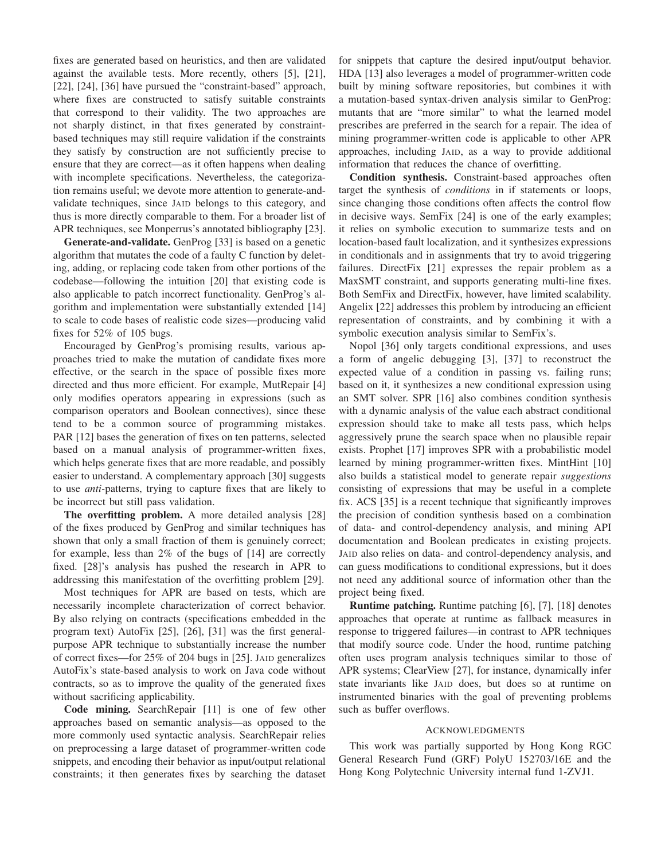fixes are generated based on heuristics, and then are validated against the available tests. More recently, others [5], [21], [22], [24], [36] have pursued the "constraint-based" approach, where fixes are constructed to satisfy suitable constraints that correspond to their validity. The two approaches are not sharply distinct, in that fixes generated by constraintbased techniques may still require validation if the constraints they satisfy by construction are not sufficiently precise to ensure that they are correct—as it often happens when dealing with incomplete specifications. Nevertheless, the categorization remains useful; we devote more attention to generate-andvalidate techniques, since JAID belongs to this category, and thus is more directly comparable to them. For a broader list of APR techniques, see Monperrus's annotated bibliography [23].

Generate-and-validate. GenProg [33] is based on a genetic algorithm that mutates the code of a faulty C function by deleting, adding, or replacing code taken from other portions of the codebase—following the intuition [20] that existing code is also applicable to patch incorrect functionality. GenProg's algorithm and implementation were substantially extended [14] to scale to code bases of realistic code sizes—producing valid fixes for 52% of 105 bugs.

Encouraged by GenProg's promising results, various approaches tried to make the mutation of candidate fixes more effective, or the search in the space of possible fixes more directed and thus more efficient. For example, MutRepair [4] only modifies operators appearing in expressions (such as comparison operators and Boolean connectives), since these tend to be a common source of programming mistakes. PAR [12] bases the generation of fixes on ten patterns, selected based on a manual analysis of programmer-written fixes, which helps generate fixes that are more readable, and possibly easier to understand. A complementary approach [30] suggests to use *anti-*patterns, trying to capture fixes that are likely to be incorrect but still pass validation.

The overfitting problem. A more detailed analysis [28] of the fixes produced by GenProg and similar techniques has shown that only a small fraction of them is genuinely correct; for example, less than 2% of the bugs of [14] are correctly fixed. [28]'s analysis has pushed the research in APR to addressing this manifestation of the overfitting problem [29].

Most techniques for APR are based on tests, which are necessarily incomplete characterization of correct behavior. By also relying on contracts (specifications embedded in the program text) AutoFix [25], [26], [31] was the first generalpurpose APR technique to substantially increase the number of correct fixes—for 25% of 204 bugs in [25]. JAID generalizes AutoFix's state-based analysis to work on Java code without contracts, so as to improve the quality of the generated fixes without sacrificing applicability.

Code mining. SearchRepair [11] is one of few other approaches based on semantic analysis—as opposed to the more commonly used syntactic analysis. SearchRepair relies on preprocessing a large dataset of programmer-written code snippets, and encoding their behavior as input/output relational constraints; it then generates fixes by searching the dataset for snippets that capture the desired input/output behavior. HDA [13] also leverages a model of programmer-written code built by mining software repositories, but combines it with a mutation-based syntax-driven analysis similar to GenProg: mutants that are "more similar" to what the learned model prescribes are preferred in the search for a repair. The idea of mining programmer-written code is applicable to other APR approaches, including JAID, as a way to provide additional information that reduces the chance of overfitting.

Condition synthesis. Constraint-based approaches often target the synthesis of *conditions* in if statements or loops, since changing those conditions often affects the control flow in decisive ways. SemFix [24] is one of the early examples; it relies on symbolic execution to summarize tests and on location-based fault localization, and it synthesizes expressions in conditionals and in assignments that try to avoid triggering failures. DirectFix [21] expresses the repair problem as a MaxSMT constraint, and supports generating multi-line fixes. Both SemFix and DirectFix, however, have limited scalability. Angelix [22] addresses this problem by introducing an efficient representation of constraints, and by combining it with a symbolic execution analysis similar to SemFix's.

Nopol [36] only targets conditional expressions, and uses a form of angelic debugging [3], [37] to reconstruct the expected value of a condition in passing vs. failing runs; based on it, it synthesizes a new conditional expression using an SMT solver. SPR [16] also combines condition synthesis with a dynamic analysis of the value each abstract conditional expression should take to make all tests pass, which helps aggressively prune the search space when no plausible repair exists. Prophet [17] improves SPR with a probabilistic model learned by mining programmer-written fixes. MintHint [10] also builds a statistical model to generate repair *suggestions* consisting of expressions that may be useful in a complete fix. ACS [35] is a recent technique that significantly improves the precision of condition synthesis based on a combination of data- and control-dependency analysis, and mining API documentation and Boolean predicates in existing projects. JAID also relies on data- and control-dependency analysis, and can guess modifications to conditional expressions, but it does not need any additional source of information other than the project being fixed.

Runtime patching. Runtime patching [6], [7], [18] denotes approaches that operate at runtime as fallback measures in response to triggered failures—in contrast to APR techniques that modify source code. Under the hood, runtime patching often uses program analysis techniques similar to those of APR systems; ClearView [27], for instance, dynamically infer state invariants like JAID does, but does so at runtime on instrumented binaries with the goal of preventing problems such as buffer overflows.

#### ACKNOWLEDGMENTS

This work was partially supported by Hong Kong RGC General Research Fund (GRF) PolyU 152703/16E and the Hong Kong Polytechnic University internal fund 1-ZVJ1.